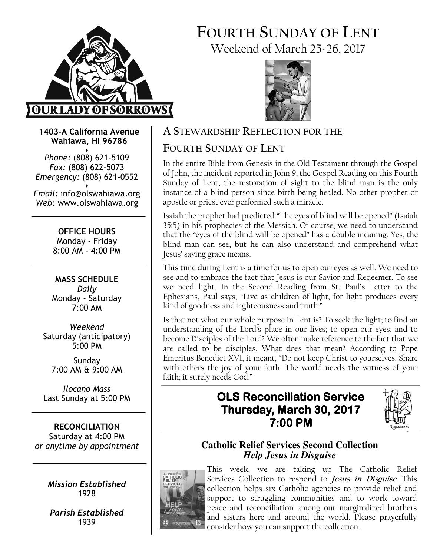

## FOURTH SUNDAY OF LENT Weekend of March 25-26, 2017



1403-A California Avenue Wahiawa, HI 96786

♦ Phone: (808) 621-5109 Fax: (808) 622-5073 Emergency: (808) 621-0552 ♦

Email: info@olswahiawa.org Web: www.olswahiawa.org

> OFFICE HOURS Monday - Friday 8:00 AM - 4:00 PM

MASS SCHEDULE Daily Monday - Saturday 7:00 AM

Weekend Saturday (anticipatory) 5:00 PM

Sunday 7:00 AM & 9:00 AM

Ilocano Mass Last Sunday at 5:00 PM

RECONCILIATION Saturday at 4:00 PM or anytime by appointment

> Mission Established 1928

Parish Established 1939

## A STEWARDSHIP REFLECTION FOR THE

## FOURTH SUNDAY OF LENT

In the entire Bible from Genesis in the Old Testament through the Gospel of John, the incident reported in John 9, the Gospel Reading on this Fourth Sunday of Lent, the restoration of sight to the blind man is the only instance of a blind person since birth being healed. No other prophet or apostle or priest ever performed such a miracle.

Isaiah the prophet had predicted "The eyes of blind will be opened" (Isaiah 35:5) in his prophecies of the Messiah. Of course, we need to understand that the "eyes of the blind will be opened" has a double meaning. Yes, the blind man can see, but he can also understand and comprehend what Jesus' saving grace means.

This time during Lent is a time for us to open our eyes as well. We need to see and to embrace the fact that Jesus is our Savior and Redeemer. To see we need light. In the Second Reading from St. Paul's Letter to the Ephesians, Paul says, "Live as children of light, for light produces every kind of goodness and righteousness and truth."

Is that not what our whole purpose in Lent is? To seek the light; to find an understanding of the Lord's place in our lives; to open our eyes; and to become Disciples of the Lord? We often make reference to the fact that we are called to be disciples. What does that mean? According to Pope Emeritus Benedict XVI, it meant, "Do not keep Christ to yourselves. Share with others the joy of your faith. The world needs the witness of your faith; it surely needs God."

## **OLS Reconciliation Service** Thursday, March 30, 2017 7:00 PM



### **Catholic Relief Services Second Collection**  *Help Jesus in Disguise*



This week, we are taking up The Catholic Relief Services Collection to respond to *Jesus in Disguise*. This collection helps six Catholic agencies to provide relief and support to struggling communities and to work toward peace and reconciliation among our marginalized brothers and sisters here and around the world. Please prayerfully consider how you can support the collection.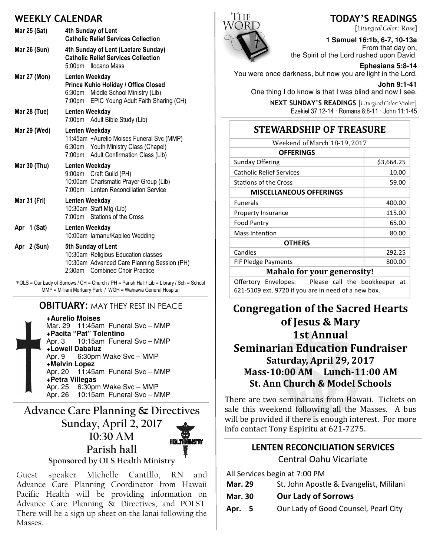### WEEKLY CALENDAR

|                     | .                                                                                                                                                    |
|---------------------|------------------------------------------------------------------------------------------------------------------------------------------------------|
| Mar 25 (Sat)        | 4th Sunday of Lent<br><b>Catholic Relief Services Collection</b>                                                                                     |
| Mar 26 (Sun)        | 4th Sunday of Lent (Laetare Sunday)<br><b>Catholic Relief Services Collection</b><br>5:00pm Ilocano Mass                                             |
| <b>Mar 27 (Mon)</b> | Lenten Weekday<br>Prince Kuhio Holiday / Office Closed<br>6:30pm Middle School Ministry (Lib)<br>7:00pm EPIC Young Adult Faith Sharing (CH)          |
| <b>Mar 28 (Tue)</b> | Lenten Weekday<br>7:00pm Adult Bible Study (Lib)                                                                                                     |
| Mar 29 (Wed)        | Lenten Weekday<br>11:45am +Aurelio Moises Funeral Svc (MMP)<br>6:30pm Youth Ministry Class (Chapel)<br>7:00pm Adult Confirmation Class (Lib)         |
| Mar 30 (Thu)        | Lenten Weekday<br>9:00am Craft Guild (PH)<br>10:00am Charismatic Prayer Group (Lib)<br>7:00pm Lenten Reconciliation Service                          |
| Mar 31 (Fri)        | Lenten Weekday<br>10:30am Staff Mtg (Lib)<br>7:00pm Stations of the Cross                                                                            |
| Apr 1 (Sat)         | Lenten Weekday<br>10:00am lamanu/Kapileo Wedding                                                                                                     |
| Apr 2 (Sun)         | 5th Sunday of Lent<br>10:30am Religious Education classes<br>10:30am Advanced Care Planning Session (PH)<br><b>Combined Choir Practice</b><br>2:30am |

∗OLS = Our Lady of Sorrows / CH = Church / PH = Parish Hall / Lib = Library / Sch = School MMP = Mililani Mortuary Park / WGH = Wahiawa General Hospital

#### **OBITUARY: MAY THEY REST IN PEACE**

**+Aurelio Moises** Mar. 29 11:45am Funeral Svc – MMP **+Pacita "Pat" Tolentino** Apr. 3 10:15am Funeral Svc – MMP **+Lowell Dabaluz**<br>Apr. 9 6:30pm 6:30pm Wake Svc – MMP **+Melvin Lopez** Apr. 20 11:45am Funeral Svc – MMP **+Petra Villegas** Apr. 25 6:30pm Wake Svc – MMP Apr. 26 10:15am Funeral Svc – MMP

Advance Care Planning & Directives Sunday, April 2, 2017 10:30 AM Parish hall Sponsored by OLS Health Ministry

Guest speaker Michelle Cantillo, RN and Advance Care Planning Coordinator from Hawaii Pacific Health will be providing information on Advance Care Planning & Directives, and POLST. There will be a sign up sheet on the lanai following the Masses.



[Liturgical Color: Rose] **1 Samuel 16:1b, 6-7, 10-13a** 

From that day on, the Spirit of the Lord rushed upon David.

**Ephesians 5:8-14**  You were once darkness, but now you are light in the Lord.

**John 9:1-41**  One thing I do know is that I was blind and now I see.

> NEXT SUNDAY'S READINGS [Liturgical Color: Violet] Ezekiel 37:12-14 · Romans 8:8-11 · John 11:1-45

## **STEWARDSHIP OF TREASURE**

| Weekend of March 18-19, 2017       |            |  |  |
|------------------------------------|------------|--|--|
| <b>OFFERINGS</b>                   |            |  |  |
| <b>Sunday Offering</b>             | \$3,664.25 |  |  |
| <b>Catholic Relief Services</b>    | 10.00      |  |  |
| <b>Stations of the Cross</b>       | 59.00      |  |  |
| <b>MISCELLANEOUS OFFERINGS</b>     |            |  |  |
| <b>Funerals</b>                    | 400.00     |  |  |
| Property Insurance                 | 115.00     |  |  |
| Food Pantry                        | 65.00      |  |  |
| Mass Intention                     | 80.00      |  |  |
| <b>OTHERS</b>                      |            |  |  |
| Candles                            | 292.25     |  |  |
| <b>FIF Pledge Payments</b>         | 800.00     |  |  |
| <b>Mahalo for your generosity!</b> |            |  |  |
|                                    |            |  |  |

Offertory Envelopes: Please call the bookkeeper at 621-5109 ext. 9720 if you are in need of a new box.

## Congregation of the Sacred Hearts of Jesus & Mary 1st Annual **Seminarian Education Fundraiser** Saturday, April 29, 2017 Mass-10:00 AM Lunch-11:00 AM St. Ann Church & Model Schools

There are two seminarians from Hawaii. Tickets on sale this weekend following all the Masses. A bus will be provided if there is enough interest. For more info contact Tony Espiritu at 621-7275.

# LENTEN RECONCILIATION SERVICES

Central Oahu Vicariate

All Services begin at 7:00 PM

| <b>Mar. 29</b> | St. John Apostle & Evangelist, Mililani |
|----------------|-----------------------------------------|
|----------------|-----------------------------------------|

- Mar. 30 Our Lady of Sorrows
- Apr. 5 Our Lady of Good Counsel, Pearl City

#### TODAY'S READINGS